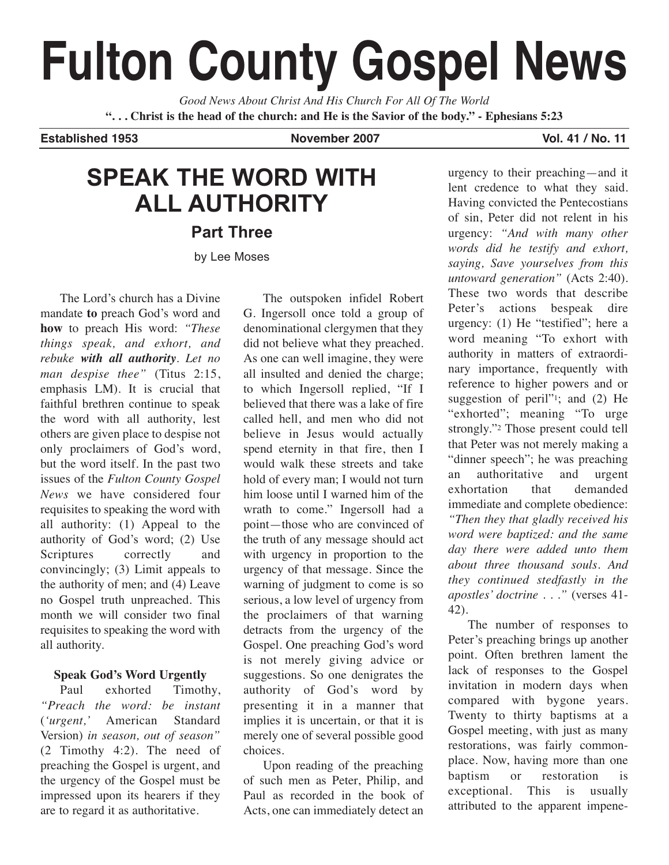# **Fulton County Gospel News**

*Good News About Christ And His Church For All Of The World* "... Christ is the head of the church: and He is the Savior of the body." - Ephesians 5:23

**Established 1953 November 2007 Vol. 41 / No. 11**

## **SPEAK THE WORD WITH ALL AUTHORITY**

**Part Three**

by Lee Moses

The Lord's church has a Divine mandate **to** preach God's word and **how** to preach His word: *"These things speak, and exhort, and rebuke with all authority. Let no man despise thee"* (Titus 2:15, emphasis LM). It is crucial that faithful brethren continue to speak the word with all authority, lest others are given place to despise not only proclaimers of God's word, but the word itself. In the past two issues of the *Fulton County Gospel News* we have considered four requisites to speaking the word with all authority: (1) Appeal to the authority of God's word; (2) Use Scriptures correctly and convincingly; (3) Limit appeals to the authority of men; and (4) Leave no Gospel truth unpreached. This month we will consider two final requisites to speaking the word with all authority.

### **Speak God's Word Urgently**

Paul exhorted Timothy, *"Preach the word: be instant* (*'urgent,'* American Standard Version) *in season, out of season"* (2 Timothy 4:2). The need of preaching the Gospel is urgent, and the urgency of the Gospel must be impressed upon its hearers if they are to regard it as authoritative.

The outspoken infidel Robert G. Ingersoll once told a group of denominational clergymen that they did not believe what they preached. As one can well imagine, they were all insulted and denied the charge; to which Ingersoll replied, "If I believed that there was a lake of fire called hell, and men who did not believe in Jesus would actually spend eternity in that fire, then I would walk these streets and take hold of every man; I would not turn him loose until I warned him of the wrath to come." Ingersoll had a point—those who are convinced of the truth of any message should act with urgency in proportion to the urgency of that message. Since the warning of judgment to come is so serious, a low level of urgency from the proclaimers of that warning detracts from the urgency of the Gospel. One preaching God's word is not merely giving advice or suggestions. So one denigrates the authority of God's word by presenting it in a manner that implies it is uncertain, or that it is merely one of several possible good choices.

Upon reading of the preaching of such men as Peter, Philip, and Paul as recorded in the book of Acts, one can immediately detect an

urgency to their preaching—and it lent credence to what they said. Having convicted the Pentecostians of sin, Peter did not relent in his urgency: *"And with many other words did he testify and exhort, saying, Save yourselves from this untoward generation"* (Acts 2:40). These two words that describe Peter's actions bespeak dire urgency: (1) He "testified"; here a word meaning "To exhort with authority in matters of extraordinary importance, frequently with reference to higher powers and or suggestion of peril"<sup>1</sup>; and (2) He "exhorted"; meaning "To urge strongly."2 Those present could tell that Peter was not merely making a "dinner speech"; he was preaching an authoritative and urgent exhortation that demanded immediate and complete obedience: *"Then they that gladly received his word were baptized: and the same day there were added unto them about three thousand souls. And they continued stedfastly in the apostles' doctrine . . ."* (verses 41- 42).

The number of responses to Peter's preaching brings up another point. Often brethren lament the lack of responses to the Gospel invitation in modern days when compared with bygone years. Twenty to thirty baptisms at a Gospel meeting, with just as many restorations, was fairly commonplace. Now, having more than one baptism or restoration is exceptional. This is usually attributed to the apparent impene-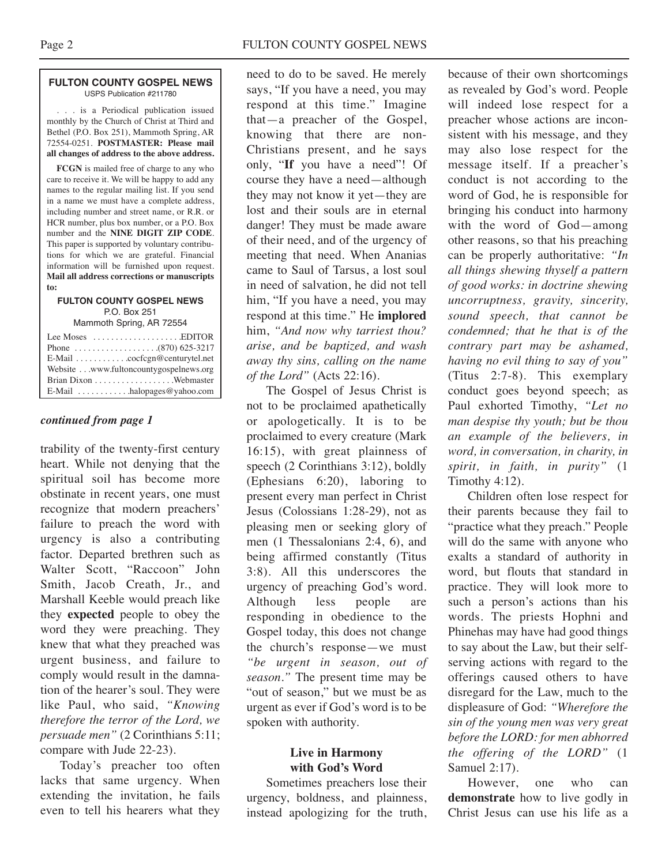#### **FULTON COUNTY GOSPEL NEWS** USPS Publication #211780

. . . is a Periodical publication issued monthly by the Church of Christ at Third and Bethel (P.O. Box 251), Mammoth Spring, AR 72554-0251. **POSTMASTER: Please mail all changes of address to the above address.**

**FCGN** is mailed free of charge to any who care to receive it. We will be happy to add any names to the regular mailing list. If you send in a name we must have a complete address, including number and street name, or R.R. or HCR number, plus box number, or a P.O. Box number and the **NINE DIGIT ZIP CODE**. This paper is supported by voluntary contributions for which we are grateful. Financial information will be furnished upon request. **Mail all address corrections or manuscripts to:**

### **FULTON COUNTY GOSPEL NEWS** P.O. Box 251

Mammoth Spring, AR 72554

| Lee Moses $\dots\dots\dots\dots\dots\dots$ . EDITOR |  |
|-----------------------------------------------------|--|
|                                                     |  |
|                                                     |  |
| Website www.fultoncountygospelnews.org              |  |
|                                                     |  |
| E-Mail $\ldots \ldots \ldots$ halopages @ yahoo.com |  |

### *continued from page 1*

trability of the twenty-first century heart. While not denying that the spiritual soil has become more obstinate in recent years, one must recognize that modern preachers' failure to preach the word with urgency is also a contributing factor. Departed brethren such as Walter Scott, "Raccoon" John Smith, Jacob Creath, Jr., and Marshall Keeble would preach like they **expected** people to obey the word they were preaching. They knew that what they preached was urgent business, and failure to comply would result in the damnation of the hearer's soul. They were like Paul, who said, *"Knowing therefore the terror of the Lord, we persuade men"* (2 Corinthians 5:11; compare with Jude 22-23).

Today's preacher too often lacks that same urgency. When extending the invitation, he fails even to tell his hearers what they need to do to be saved. He merely says, "If you have a need, you may respond at this time." Imagine that—a preacher of the Gospel, knowing that there are non-Christians present, and he says only, "**If** you have a need"! Of course they have a need—although they may not know it yet—they are lost and their souls are in eternal danger! They must be made aware of their need, and of the urgency of meeting that need. When Ananias came to Saul of Tarsus, a lost soul in need of salvation, he did not tell him, "If you have a need, you may respond at this time." He **implored** him, *"And now why tarriest thou? arise, and be baptized, and wash away thy sins, calling on the name of the Lord"* (Acts 22:16).

The Gospel of Jesus Christ is not to be proclaimed apathetically or apologetically. It is to be proclaimed to every creature (Mark 16:15), with great plainness of speech (2 Corinthians 3:12), boldly (Ephesians 6:20), laboring to present every man perfect in Christ Jesus (Colossians 1:28-29), not as pleasing men or seeking glory of men (1 Thessalonians 2:4, 6), and being affirmed constantly (Titus 3:8). All this underscores the urgency of preaching God's word. Although less people are responding in obedience to the Gospel today, this does not change the church's response—we must *"be urgent in season, out of season."* The present time may be "out of season," but we must be as urgent as ever if God's word is to be spoken with authority.

### **Live in Harmony with God's Word**

Sometimes preachers lose their urgency, boldness, and plainness, instead apologizing for the truth,

because of their own shortcomings as revealed by God's word. People will indeed lose respect for a preacher whose actions are inconsistent with his message, and they may also lose respect for the message itself. If a preacher's conduct is not according to the word of God, he is responsible for bringing his conduct into harmony with the word of God—among other reasons, so that his preaching can be properly authoritative: *"In all things shewing thyself a pattern of good works: in doctrine shewing uncorruptness, gravity, sincerity, sound speech, that cannot be condemned; that he that is of the contrary part may be ashamed, having no evil thing to say of you"* (Titus 2:7-8). This exemplary conduct goes beyond speech; as Paul exhorted Timothy, *"Let no man despise thy youth; but be thou an example of the believers, in word, in conversation, in charity, in spirit, in faith, in purity"* (1 Timothy 4:12).

Children often lose respect for their parents because they fail to "practice what they preach." People will do the same with anyone who exalts a standard of authority in word, but flouts that standard in practice. They will look more to such a person's actions than his words. The priests Hophni and Phinehas may have had good things to say about the Law, but their selfserving actions with regard to the offerings caused others to have disregard for the Law, much to the displeasure of God: *"Wherefore the sin of the young men was very great before the LORD: for men abhorred the offering of the LORD"* (1 Samuel 2:17).

However, one who can **demonstrate** how to live godly in Christ Jesus can use his life as a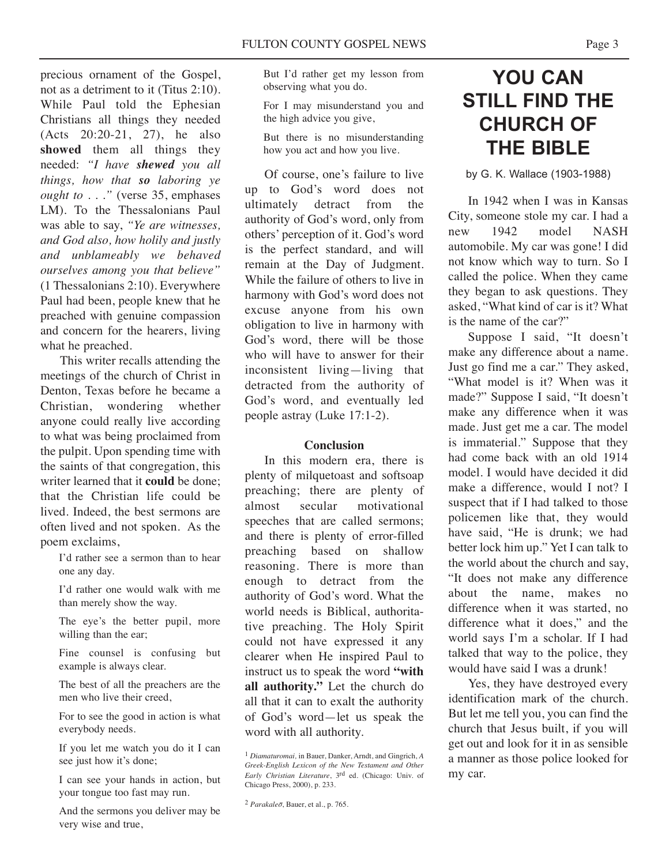precious ornament of the Gospel, not as a detriment to it (Titus 2:10). While Paul told the Ephesian Christians all things they needed (Acts 20:20-21, 27), he also **showed** them all things they needed: *"I have shewed you all things, how that so laboring ye ought to . . ."* (verse 35, emphases LM). To the Thessalonians Paul was able to say, *"Ye are witnesses, and God also, how holily and justly and unblameably we behaved ourselves among you that believe"* (1 Thessalonians 2:10). Everywhere Paul had been, people knew that he preached with genuine compassion and concern for the hearers, living what he preached.

This writer recalls attending the meetings of the church of Christ in Denton, Texas before he became a Christian, wondering whether anyone could really live according to what was being proclaimed from the pulpit. Upon spending time with the saints of that congregation, this writer learned that it **could** be done; that the Christian life could be lived. Indeed, the best sermons are often lived and not spoken. As the poem exclaims,

I'd rather see a sermon than to hear one any day.

I'd rather one would walk with me than merely show the way.

The eye's the better pupil, more willing than the ear;

Fine counsel is confusing but example is always clear.

The best of all the preachers are the men who live their creed,

For to see the good in action is what everybody needs.

If you let me watch you do it I can see just how it's done;

I can see your hands in action, but your tongue too fast may run.

And the sermons you deliver may be very wise and true,

But I'd rather get my lesson from observing what you do.

For I may misunderstand you and the high advice you give,

But there is no misunderstanding how you act and how you live.

Of course, one's failure to live up to God's word does not ultimately detract from the authority of God's word, only from others' perception of it. God's word is the perfect standard, and will remain at the Day of Judgment. While the failure of others to live in harmony with God's word does not excuse anyone from his own obligation to live in harmony with God's word, there will be those who will have to answer for their inconsistent living—living that detracted from the authority of God's word, and eventually led people astray (Luke 17:1-2).

### **Conclusion**

In this modern era, there is plenty of milquetoast and softsoap preaching; there are plenty of almost secular motivational speeches that are called sermons; and there is plenty of error-filled preaching based on shallow reasoning. There is more than enough to detract from the authority of God's word. What the world needs is Biblical, authoritative preaching. The Holy Spirit could not have expressed it any clearer when He inspired Paul to instruct us to speak the word **"with all authority."** Let the church do all that it can to exalt the authority of God's word—let us speak the word with all authority.

### **YOU CAN STILL FIND THE CHURCH OF THE BIBLE**

by G. K. Wallace (1903-1988)

In 1942 when I was in Kansas City, someone stole my car. I had a new 1942 model NASH automobile. My car was gone! I did not know which way to turn. So I called the police. When they came they began to ask questions. They asked, "What kind of car is it? What is the name of the car?"

Suppose I said, "It doesn't make any difference about a name. Just go find me a car." They asked, "What model is it? When was it made?" Suppose I said, "It doesn't make any difference when it was made. Just get me a car. The model is immaterial." Suppose that they had come back with an old 1914 model. I would have decided it did make a difference, would I not? I suspect that if I had talked to those policemen like that, they would have said, "He is drunk; we had better lock him up." Yet I can talk to the world about the church and say, "It does not make any difference about the name, makes no difference when it was started, no difference what it does," and the world says I'm a scholar. If I had talked that way to the police, they would have said I was a drunk!

Yes, they have destroyed every identification mark of the church. But let me tell you, you can find the church that Jesus built, if you will get out and look for it in as sensible a manner as those police looked for my car.

<sup>1</sup> *Diamaturomai,* in Bauer, Danker, Arndt, and Gingrich, *A Greek-English Lexicon of the New Testament and Other Early Christian Literature*, 3rd ed. (Chicago: Univ. of Chicago Press, 2000), p. 233.

<sup>2</sup> *Parakaleo*, Bauer, et al., p. 765.